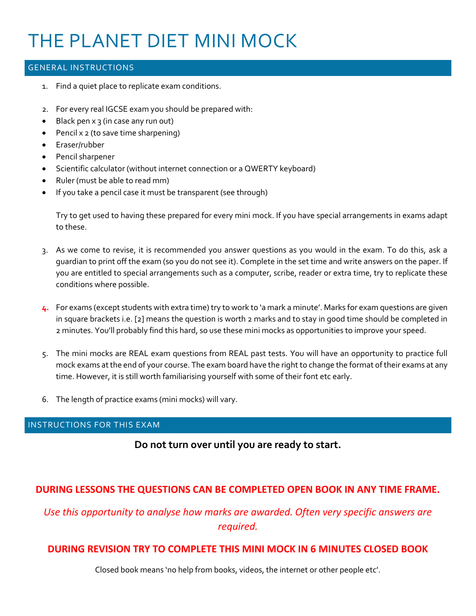# THE PLANET DIET MINI MOCK

#### GENERAL INSTRUCTIONS

- 1. Find a quiet place to replicate exam conditions.
- 2. For every real IGCSE exam you should be prepared with:
- Black pen x 3 (in case any run out)
- Pencil x 2 (to save time sharpening)
- Eraser/rubber
- Pencil sharpener
- Scientific calculator (without internet connection or a QWERTY keyboard)
- Ruler (must be able to read mm)
- If you take a pencil case it must be transparent (see through)

Try to get used to having these prepared for every mini mock. If you have special arrangements in exams adapt to these.

- 3. As we come to revise, it is recommended you answer questions as you would in the exam. To do this, ask a guardian to print off the exam (so you do not see it). Complete in the set time and write answers on the paper. If you are entitled to special arrangements such as a computer, scribe, reader or extra time, try to replicate these conditions where possible.
- **4.** For exams (except students with extra time) try to work to 'a mark a minute'. Marks for exam questions are given in square brackets i.e. [2] means the question is worth 2 marks and to stay in good time should be completed in 2 minutes. You'll probably find this hard, so use these mini mocks as opportunities to improve your speed.
- 5. The mini mocks are REAL exam questions from REAL past tests. You will have an opportunity to practice full mock exams at the end of your course. The exam board have the right to change the format of their exams at any time. However, it is still worth familiarising yourself with some of their font etc early.
- 6. The length of practice exams (mini mocks) will vary.

#### INSTRUCTIONS FOR THIS EXAM

**Do not turn over until you are ready to start.**

## **DURING LESSONS THE QUESTIONS CAN BE COMPLETED OPEN BOOK IN ANY TIME FRAME.**

*Use this opportunity to analyse how marks are awarded. Often very specific answers are required.*

## **DURING REVISION TRY TO COMPLETE THIS MINI MOCK IN 6 MINUTES CLOSED BOOK**

Closed book means 'no help from books, videos, the internet or other people etc'.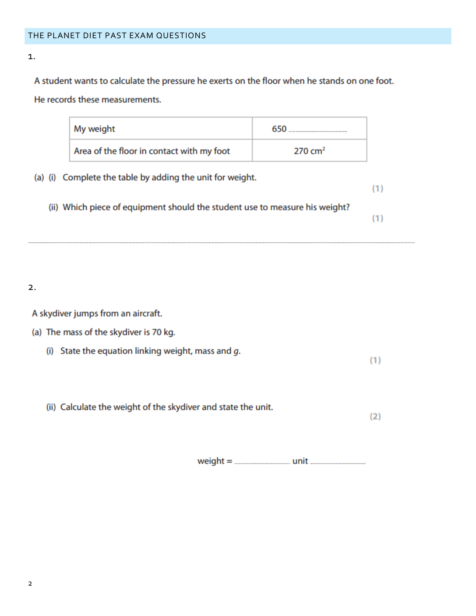1.

A student wants to calculate the pressure he exerts on the floor when he stands on one foot. He records these measurements.

| My weight                                                                   | 650                |
|-----------------------------------------------------------------------------|--------------------|
| Area of the floor in contact with my foot                                   | $270 \text{ cm}^2$ |
| (a) (i) Complete the table by adding the unit for weight.                   |                    |
| (ii) Which piece of equipment should the student use to measure his weight? |                    |

2.

A skydiver jumps from an aircraft.

## (a) The mass of the skydiver is 70 kg.

(i) State the equation linking weight, mass and  $g$ .

(ii) Calculate the weight of the skydiver and state the unit.

 $(2)$ 

 $(1)$